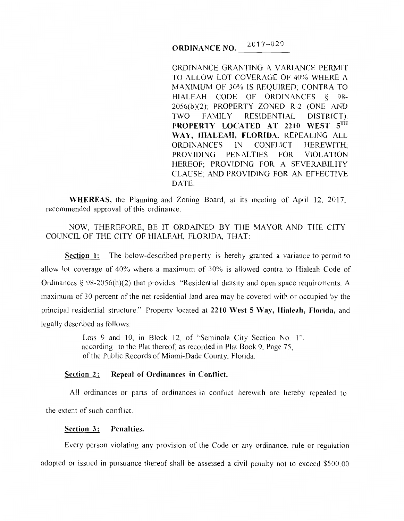# **ORDINANCE NO.**  $2017-029$

ORDINANCE GRANTING A VARIANCE PERMIT TO ALLOW LOT COVERAGE OF 40% WHERE A MAXIMUM OF 30% IS REQUIRED; CONTRA TO HIALEAH CODE OF ORDINANCES § 98- 2056(b)(2); PROPERTY ZONED R-2 (ONE AND TWO FAMILY RESIDENTIAL DISTRICT). **PROPERTY LOCATED AT 2210 WEST 5TH WAY, HIALEAH, FLORIDA.** REPEALING ALL ORDINANCES IN CONFLICT HEREWITH; PROVIDING PENALTIES FOR VIOLATION HEREOF; PROVIDING FOR A SEVERABILITY CLAUSE; AND PROVIDING FOR AN EFFECTIVE DATE.

**WHEREAS,** the Planning and Zoning Board, at its meeting of April I2, 20I7, recommended approval of this ordinance.

# NOW, THEREFORE, BE IT ORDAINED BY THE MAYOR AND THE CITY COUNCIL OF THE CITY OF HIALEAH, FLORIDA, THAT:

**Section 1:** The below-described property is hereby granted a variance to permit to allow lot coverage of 40% where a maximum of 30% is allowed contra to Hialeah Code of Ordinances  $\S$  98-2056(b)(2) that provides: "Residential density and open space requirements. A maximum of 30 percent of the net residential land area may be covered with or occupied by the principal residential structure." Property located at **2210 West 5 Way, Hialeah, Florida,** and legally described as follows:

> Lots 9 and 10, in Block 12, of "Seminola City Section No. 1", according to the Plat thereof, as recorded in Plat Book 9, Page 75, of the Public Records of Miami-Dade County, Florida.

# **Section 2: Repeal of Ordinances in Conflict.**

All ordinances or parts of ordinances in conflict herewith are hereby repealed to the extent of such conflict

#### **Section 3: Penalties.**

Every person violating any provision of the Code or any ordinance, rule or regulation adopted or issued in pursuance thereof shall be assessed a civil penalty not to exceed \$500.00